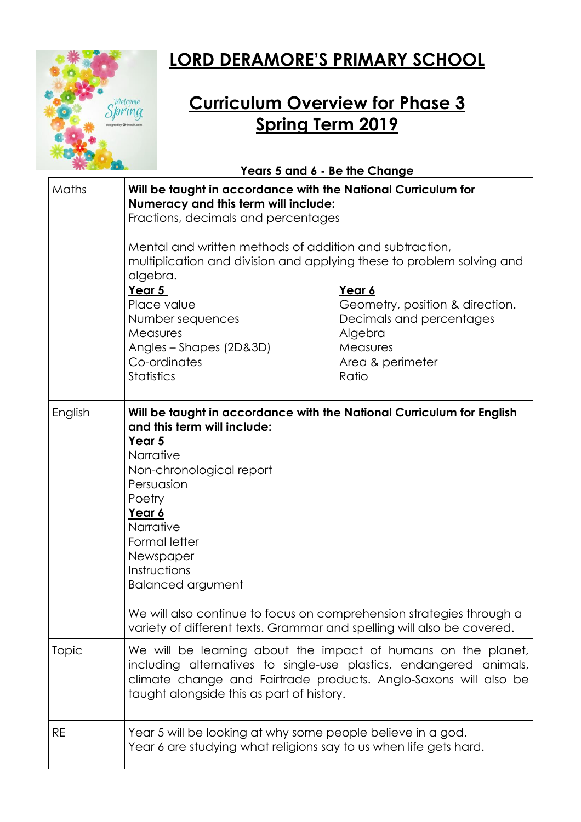

## **LORD DERAMORE'S PRIMARY SCHOOL**

## **Curriculum Overview for Phase 3 Spring Term 2019**

|         | Years 5 and 6 - Be the Change                                                                                                                                                                                                                                                                                                                                                                                                      |                                                                       |
|---------|------------------------------------------------------------------------------------------------------------------------------------------------------------------------------------------------------------------------------------------------------------------------------------------------------------------------------------------------------------------------------------------------------------------------------------|-----------------------------------------------------------------------|
| Maths   | Will be taught in accordance with the National Curriculum for<br>Numeracy and this term will include:<br>Fractions, decimals and percentages                                                                                                                                                                                                                                                                                       |                                                                       |
|         | Mental and written methods of addition and subtraction,<br>multiplication and division and applying these to problem solving and<br>algebra.                                                                                                                                                                                                                                                                                       |                                                                       |
|         | Year 5<br>Place value<br>Number sequences                                                                                                                                                                                                                                                                                                                                                                                          | Year 6<br>Geometry, position & direction.<br>Decimals and percentages |
|         | Measures<br>Angles - Shapes (2D&3D)<br>Co-ordinates<br><b>Statistics</b>                                                                                                                                                                                                                                                                                                                                                           | Algebra<br>Measures<br>Area & perimeter<br>Ratio                      |
|         |                                                                                                                                                                                                                                                                                                                                                                                                                                    |                                                                       |
| English | Will be taught in accordance with the National Curriculum for English<br>and this term will include:<br>Year 5<br>Narrative<br>Non-chronological report<br>Persuasion<br>Poetry<br>Year 6<br>Narrative<br>Formal letter<br>Newspaper<br>Instructions<br><b>Balanced argument</b><br>We will also continue to focus on comprehension strategies through a<br>variety of different texts. Grammar and spelling will also be covered. |                                                                       |
| Topic   | We will be learning about the impact of humans on the planet,<br>including alternatives to single-use plastics, endangered animals,<br>climate change and Fairtrade products. Anglo-Saxons will also be<br>taught alongside this as part of history.                                                                                                                                                                               |                                                                       |
| RE      | Year 5 will be looking at why some people believe in a god.<br>Year 6 are studying what religions say to us when life gets hard.                                                                                                                                                                                                                                                                                                   |                                                                       |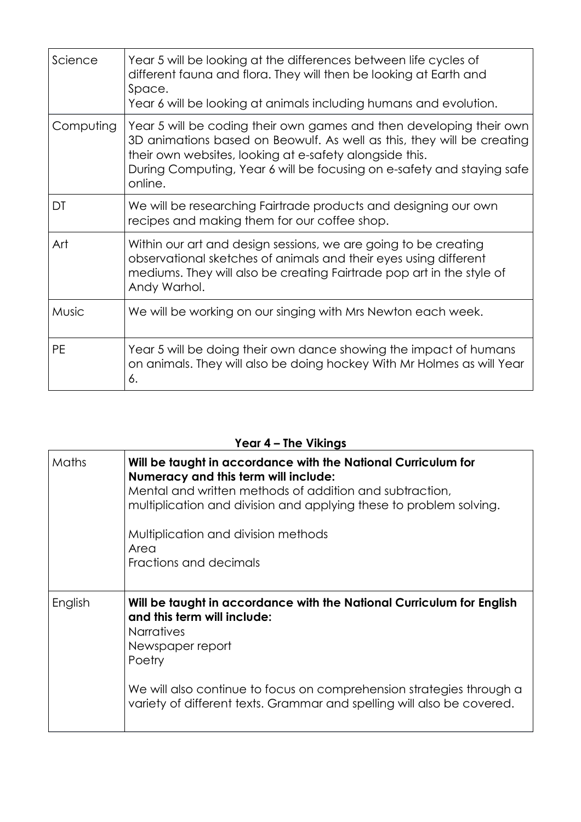| Science      | Year 5 will be looking at the differences between life cycles of<br>different fauna and flora. They will then be looking at Earth and<br>Space.<br>Year 6 will be looking at animals including humans and evolution.                                                                          |
|--------------|-----------------------------------------------------------------------------------------------------------------------------------------------------------------------------------------------------------------------------------------------------------------------------------------------|
| Computing    | Year 5 will be coding their own games and then developing their own<br>3D animations based on Beowulf. As well as this, they will be creating<br>their own websites, looking at e-safety alongside this.<br>During Computing, Year 6 will be focusing on e-safety and staying safe<br>online. |
| DT           | We will be researching Fairtrade products and designing our own<br>recipes and making them for our coffee shop.                                                                                                                                                                               |
| Art          | Within our art and design sessions, we are going to be creating<br>observational sketches of animals and their eyes using different<br>mediums. They will also be creating Fairtrade pop art in the style of<br>Andy Warhol.                                                                  |
| <b>Music</b> | We will be working on our singing with Mrs Newton each week.                                                                                                                                                                                                                                  |
| <b>PE</b>    | Year 5 will be doing their own dance showing the impact of humans<br>on animals. They will also be doing hockey With Mr Holmes as will Year<br>6.                                                                                                                                             |

## **Year 4 – The Vikings**

| Maths   | Will be taught in accordance with the National Curriculum for<br>Numeracy and this term will include:<br>Mental and written methods of addition and subtraction,<br>multiplication and division and applying these to problem solving.<br>Multiplication and division methods<br>Area<br>Fractions and decimals |
|---------|-----------------------------------------------------------------------------------------------------------------------------------------------------------------------------------------------------------------------------------------------------------------------------------------------------------------|
| English | Will be taught in accordance with the National Curriculum for English<br>and this term will include:<br><b>Narratives</b><br>Newspaper report<br>Poetry<br>We will also continue to focus on comprehension strategies through a<br>variety of different texts. Grammar and spelling will also be covered.       |